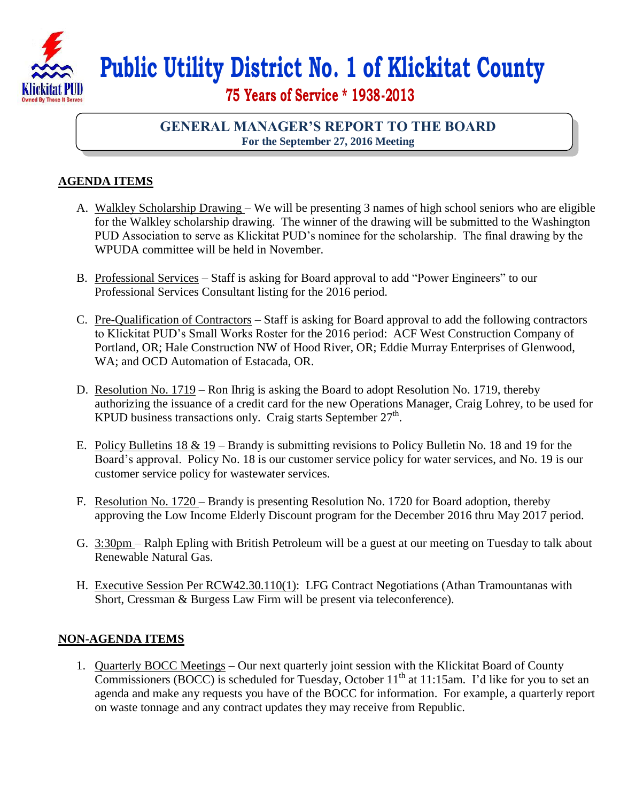

## **Public Utility District No. 1 of Klickitat County**

 **75 Years of Service \* 1938-2013**

## **GENERAL MANAGER'S REPORT TO THE BOARD For the September 27, 2016 Meeting**

## **AGENDA ITEMS**

- A. Walkley Scholarship Drawing We will be presenting 3 names of high school seniors who are eligible for the Walkley scholarship drawing. The winner of the drawing will be submitted to the Washington PUD Association to serve as Klickitat PUD's nominee for the scholarship. The final drawing by the WPUDA committee will be held in November.
- B. Professional Services Staff is asking for Board approval to add "Power Engineers" to our Professional Services Consultant listing for the 2016 period.
- C. Pre-Qualification of Contractors Staff is asking for Board approval to add the following contractors to Klickitat PUD's Small Works Roster for the 2016 period: ACF West Construction Company of Portland, OR; Hale Construction NW of Hood River, OR; Eddie Murray Enterprises of Glenwood, WA; and OCD Automation of Estacada, OR.
- D. Resolution No. 1719 Ron Ihrig is asking the Board to adopt Resolution No. 1719, thereby authorizing the issuance of a credit card for the new Operations Manager, Craig Lohrey, to be used for KPUD business transactions only. Craig starts September  $27<sup>th</sup>$ .
- E. Policy Bulletins 18 & 19 Brandy is submitting revisions to Policy Bulletin No. 18 and 19 for the Board's approval. Policy No. 18 is our customer service policy for water services, and No. 19 is our customer service policy for wastewater services.
- F. Resolution No. 1720 Brandy is presenting Resolution No. 1720 for Board adoption, thereby approving the Low Income Elderly Discount program for the December 2016 thru May 2017 period.
- G. 3:30pm Ralph Epling with British Petroleum will be a guest at our meeting on Tuesday to talk about Renewable Natural Gas.
- H. Executive Session Per RCW42.30.110(1): LFG Contract Negotiations (Athan Tramountanas with Short, Cressman & Burgess Law Firm will be present via teleconference).

## **NON-AGENDA ITEMS**

1. Quarterly BOCC Meetings – Our next quarterly joint session with the Klickitat Board of County  $\overline{\text{Commissioners (BOCC)}}$  is scheduled for Tuesday, October 11<sup>th</sup> at 11:15am. I'd like for you to set an agenda and make any requests you have of the BOCC for information. For example, a quarterly report on waste tonnage and any contract updates they may receive from Republic.